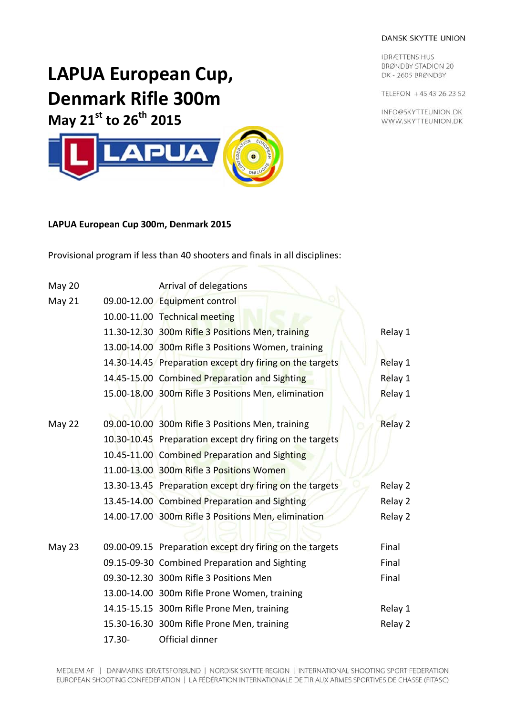## DANSK SKYTTE UNION

**IDRÆTTENS HUS BRØNDBY STADION 20** DK-2605 BRØNDBY

TELEFON +45 43 26 23 52

INFO@SKYTTEUNION.DK WWW.SKYTTEUNION.DK

## **LAPUA European Cup, Denmark Rifle 300m**



## **LAPUA European Cup 300m, Denmark 2015**

Provisional program if less than 40 shooters and finals in all disciplines:

| May 20 |           | Arrival of delegations                                   |         |
|--------|-----------|----------------------------------------------------------|---------|
| May 21 |           | 09.00-12.00 Equipment control                            |         |
|        |           | 10.00-11.00 Technical meeting                            |         |
|        |           | 11.30-12.30 300m Rifle 3 Positions Men, training         | Relay 1 |
|        |           | 13.00-14.00 300m Rifle 3 Positions Women, training       |         |
|        |           | 14.30-14.45 Preparation except dry firing on the targets | Relay 1 |
|        |           | 14.45-15.00 Combined Preparation and Sighting            | Relay 1 |
|        |           | 15.00-18.00 300m Rifle 3 Positions Men, elimination      | Relay 1 |
|        |           |                                                          |         |
| May 22 |           | 09.00-10.00 300m Rifle 3 Positions Men, training         | Relay 2 |
|        |           | 10.30-10.45 Preparation except dry firing on the targets |         |
|        |           | 10.45-11.00 Combined Preparation and Sighting            |         |
|        |           | 11.00-13.00 300m Rifle 3 Positions Women                 |         |
|        |           | 13.30-13.45 Preparation except dry firing on the targets | Relay 2 |
|        |           | 13.45-14.00 Combined Preparation and Sighting            | Relay 2 |
|        |           | 14.00-17.00 300m Rifle 3 Positions Men, elimination      | Relay 2 |
|        |           |                                                          |         |
| May 23 |           | 09.00-09.15 Preparation except dry firing on the targets | Final   |
|        |           | 09.15-09-30 Combined Preparation and Sighting            | Final   |
|        |           | 09.30-12.30 300m Rifle 3 Positions Men                   | Final   |
|        |           | 13.00-14.00 300m Rifle Prone Women, training             |         |
|        |           | 14.15-15.15 300m Rifle Prone Men, training               | Relay 1 |
|        |           | 15.30-16.30 300m Rifle Prone Men, training               | Relay 2 |
|        | $17.30 -$ | Official dinner                                          |         |